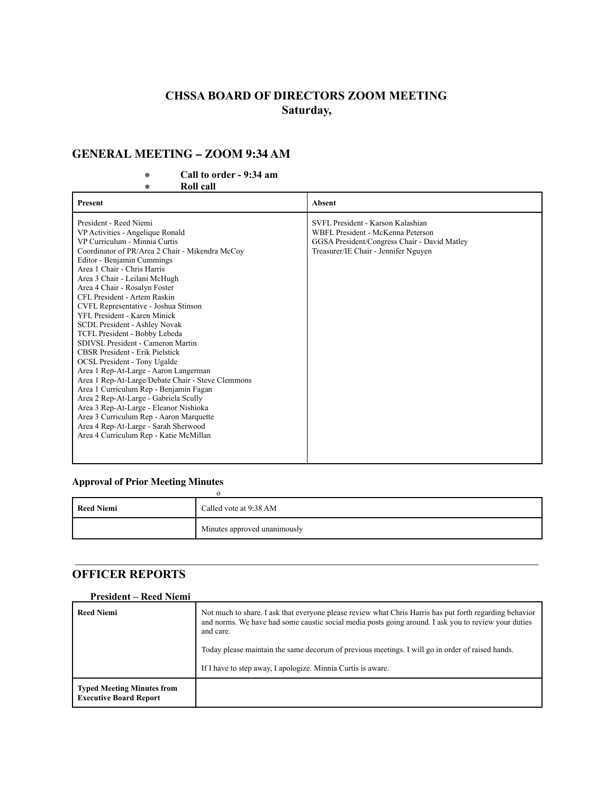# **CHSSA BOARD OF DIRECTORS ZOOM MEETING Saturday,**

### **GENERAL MEETING – ZOOM 9:34 AM**

### **● Call to order - 9:34 am**

**● Roll call**

| <b>Present</b>                                                                                                                                                                                                                                                                                                                                                                                                                                                                                                                                                                                                                                                                                                                                                                                                                                                                                                                        | Absent                                                                                                                                                         |
|---------------------------------------------------------------------------------------------------------------------------------------------------------------------------------------------------------------------------------------------------------------------------------------------------------------------------------------------------------------------------------------------------------------------------------------------------------------------------------------------------------------------------------------------------------------------------------------------------------------------------------------------------------------------------------------------------------------------------------------------------------------------------------------------------------------------------------------------------------------------------------------------------------------------------------------|----------------------------------------------------------------------------------------------------------------------------------------------------------------|
| President - Reed Niemi<br>VP Activities - Angelique Ronald<br>VP Curriculum - Minnia Curtis<br>Coordinator of PR/Area 2 Chair - Mikendra McCoy<br>Editor - Benjamin Cummings<br>Area 1 Chair - Chris Harris<br>Area 3 Chair - Leilani McHugh<br>Area 4 Chair - Rosalyn Foster<br>CFL President - Artem Raskin<br>CVFL Representative - Joshua Stinson<br>YFL President - Karen Minick<br>SCDL President - Ashley Novak<br>TCFL President - Bobby Lebeda<br>SDIVSL President - Cameron Martin<br><b>CBSR President - Erik Pielstick</b><br><b>OCSL President - Tony Ugalde</b><br>Area 1 Rep-At-Large - Aaron Langerman<br>Area 1 Rep-At-Large/Debate Chair - Steve Clemmons<br>Area 1 Curriculum Rep - Benjamin Fagan<br>Area 2 Rep-At-Large - Gabriela Scully<br>Area 3 Rep-At-Large - Eleanor Nishioka<br>Area 3 Curriculum Rep - Aaron Marquette<br>Area 4 Rep-At-Large - Sarah Sherwood<br>Area 4 Curriculum Rep - Katie McMillan | SVFL President - Karson Kalashian<br>WBFL President - McKenna Peterson<br>GGSA President/Congress Chair - David Matley<br>Treasurer/IE Chair - Jennifer Nguyen |
|                                                                                                                                                                                                                                                                                                                                                                                                                                                                                                                                                                                                                                                                                                                                                                                                                                                                                                                                       |                                                                                                                                                                |

### **Approval of Prior Meeting Minutes**

| <b>Reed Niemi</b> | Called vote at 9:38 AM       |
|-------------------|------------------------------|
|                   | Minutes approved unanimously |

### **OFFICER REPORTS**

#### **President – Reed Niemi**

| <b>Reed Niemi</b>                                                  | Not much to share. I ask that everyone please review what Chris Harris has put forth regarding behavior<br>and norms. We have had some caustic social media posts going around. I ask you to review your duties<br>and care.<br>Today please maintain the same decorum of previous meetings. I will go in order of raised hands. |
|--------------------------------------------------------------------|----------------------------------------------------------------------------------------------------------------------------------------------------------------------------------------------------------------------------------------------------------------------------------------------------------------------------------|
|                                                                    | If I have to step away, I apologize. Minnia Curtis is aware.                                                                                                                                                                                                                                                                     |
| <b>Typed Meeting Minutes from</b><br><b>Executive Board Report</b> |                                                                                                                                                                                                                                                                                                                                  |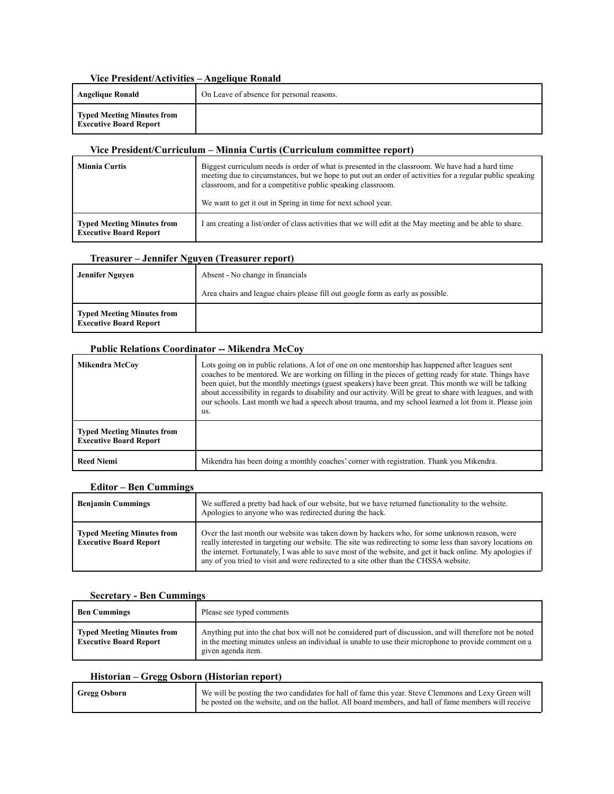#### **Vice President/Activities – Angelique Ronald**

| Angelique Ronald                                            | On Leave of absence for personal reasons. |
|-------------------------------------------------------------|-------------------------------------------|
| Typed Meeting Minutes from<br><b>Executive Board Report</b> |                                           |

#### **Vice President/Curriculum – Minnia Curtis (Curriculum committee report)**

| <b>Minnia Curtis</b>                                               | Biggest curriculum needs is order of what is presented in the classroom. We have had a hard time<br>meeting due to circumstances, but we hope to put out an order of activities for a regular public speaking<br>classroom, and for a competitive public speaking classroom.<br>We want to get it out in Spring in time for next school year. |
|--------------------------------------------------------------------|-----------------------------------------------------------------------------------------------------------------------------------------------------------------------------------------------------------------------------------------------------------------------------------------------------------------------------------------------|
| <b>Typed Meeting Minutes from</b><br><b>Executive Board Report</b> | I am creating a list/order of class activities that we will edit at the May meeting and be able to share.                                                                                                                                                                                                                                     |

#### **Treasurer – Jennifer Nguyen (Treasurer report)**

| Jennifer Nguyen                                                    | Absent - No change in financials                                                |
|--------------------------------------------------------------------|---------------------------------------------------------------------------------|
|                                                                    | Area chairs and league chairs please fill out google form as early as possible. |
| <b>Typed Meeting Minutes from</b><br><b>Executive Board Report</b> |                                                                                 |

#### **Public Relations Coordinator -- Mikendra McCoy**

| Mikendra McCov                                                     | Lots going on in public relations. A lot of one on one mentorship has happened after leagues sent<br>coaches to be mentored. We are working on filling in the pieces of getting ready for state. Things have<br>been quiet, but the monthly meetings (guest speakers) have been great. This month we will be talking<br>about accessibility in regards to disability and our activity. Will be great to share with leagues, and with<br>our schools. Last month we had a speech about trauma, and my school learned a lot from it. Please join<br>us. |
|--------------------------------------------------------------------|-------------------------------------------------------------------------------------------------------------------------------------------------------------------------------------------------------------------------------------------------------------------------------------------------------------------------------------------------------------------------------------------------------------------------------------------------------------------------------------------------------------------------------------------------------|
| <b>Typed Meeting Minutes from</b><br><b>Executive Board Report</b> |                                                                                                                                                                                                                                                                                                                                                                                                                                                                                                                                                       |
| <b>Reed Niemi</b>                                                  | Mikendra has been doing a monthly coaches' corner with registration. Thank you Mikendra.                                                                                                                                                                                                                                                                                                                                                                                                                                                              |

#### **Editor – Ben Cummings**

| <b>Benjamin Cummings</b>                                           | We suffered a pretty bad hack of our website, but we have returned functionality to the website.<br>Apologies to anyone who was redirected during the hack.                                                                                                                                                                                                                                                       |
|--------------------------------------------------------------------|-------------------------------------------------------------------------------------------------------------------------------------------------------------------------------------------------------------------------------------------------------------------------------------------------------------------------------------------------------------------------------------------------------------------|
| <b>Typed Meeting Minutes from</b><br><b>Executive Board Report</b> | Over the last month our website was taken down by hackers who, for some unknown reason, were<br>really interested in targeting our website. The site was redirecting to some less than savory locations on<br>the internet. Fortunately, I was able to save most of the website, and get it back online. My apologies if<br>any of you tried to visit and were redirected to a site other than the CHSSA website. |

#### **Secretary - Ben Cummings**

| <b>Ben Cummings</b>                                                | Please see typed comments                                                                                                                                                                                                                |
|--------------------------------------------------------------------|------------------------------------------------------------------------------------------------------------------------------------------------------------------------------------------------------------------------------------------|
| <b>Typed Meeting Minutes from</b><br><b>Executive Board Report</b> | Anything put into the chat box will not be considered part of discussion, and will therefore not be noted<br>in the meeting minutes unless an individual is unable to use their microphone to provide comment on a<br>given agenda item. |

#### **Historian – Gregg Osborn (Historian report)**

| <b>Gregg Osborn</b> | We will be posting the two candidates for hall of fame this year. Steve Clemmons and Lexy Green will  |
|---------------------|-------------------------------------------------------------------------------------------------------|
|                     | be posted on the website, and on the ballot. All board members, and hall of fame members will receive |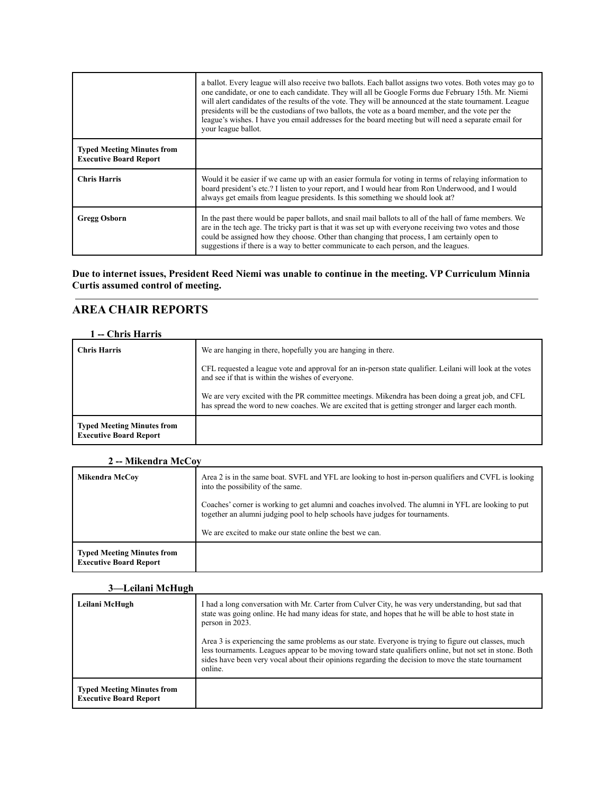|                                                                    | a ballot. Every league will also receive two ballots. Each ballot assigns two votes. Both votes may go to<br>one candidate, or one to each candidate. They will all be Google Forms due February 15th. Mr. Niemi<br>will alert candidates of the results of the vote. They will be announced at the state tournament. League<br>presidents will be the custodians of two ballots, the vote as a board member, and the vote per the<br>league's wishes. I have you email addresses for the board meeting but will need a separate email for<br>your league ballot. |
|--------------------------------------------------------------------|-------------------------------------------------------------------------------------------------------------------------------------------------------------------------------------------------------------------------------------------------------------------------------------------------------------------------------------------------------------------------------------------------------------------------------------------------------------------------------------------------------------------------------------------------------------------|
| <b>Typed Meeting Minutes from</b><br><b>Executive Board Report</b> |                                                                                                                                                                                                                                                                                                                                                                                                                                                                                                                                                                   |
| <b>Chris Harris</b>                                                | Would it be easier if we came up with an easier formula for voting in terms of relaying information to<br>board president's etc.? I listen to your report, and I would hear from Ron Underwood, and I would<br>always get emails from league presidents. Is this something we should look at?                                                                                                                                                                                                                                                                     |
| Gregg Osborn                                                       | In the past there would be paper ballots, and snail mail ballots to all of the hall of fame members. We<br>are in the tech age. The tricky part is that it was set up with everyone receiving two votes and those<br>could be assigned how they choose. Other than changing that process, I am certainly open to<br>suggestions if there is a way to better communicate to each person, and the leagues.                                                                                                                                                          |

**Due to internet issues, President Reed Niemi was unable to continue in the meeting. VP Curriculum Minnia Curtis assumed control of meeting.**

### **AREA CHAIR REPORTS**

#### **1 -- Chris Harris**

| <b>Chris Harris</b>                                                | We are hanging in there, hopefully you are hanging in there.                                                                                                                                           |
|--------------------------------------------------------------------|--------------------------------------------------------------------------------------------------------------------------------------------------------------------------------------------------------|
|                                                                    | CFL requested a league vote and approval for an in-person state qualifier. Leilani will look at the votes<br>and see if that is within the wishes of everyone.                                         |
|                                                                    | We are very excited with the PR committee meetings. Mikendra has been doing a great job, and CFL<br>has spread the word to new coaches. We are excited that is getting stronger and larger each month. |
| <b>Typed Meeting Minutes from</b><br><b>Executive Board Report</b> |                                                                                                                                                                                                        |

### **2 -- Mikendra McCoy**

| Mikendra McCov                                                     | Area 2 is in the same boat. SVFL and YFL are looking to host in-person qualifiers and CVFL is looking<br>into the possibility of the same.                                          |
|--------------------------------------------------------------------|-------------------------------------------------------------------------------------------------------------------------------------------------------------------------------------|
|                                                                    | Coaches' corner is working to get alumni and coaches involved. The alumni in YFL are looking to put<br>together an alumni judging pool to help schools have judges for tournaments. |
|                                                                    | We are excited to make our state online the best we can.                                                                                                                            |
| <b>Typed Meeting Minutes from</b><br><b>Executive Board Report</b> |                                                                                                                                                                                     |

#### **3—Leilani McHugh**

| Leilani McHugh                                                     | I had a long conversation with Mr. Carter from Culver City, he was very understanding, but sad that<br>state was going online. He had many ideas for state, and hopes that he will be able to host state in<br>person in 2023.<br>Area 3 is experiencing the same problems as our state. Everyone is trying to figure out classes, much<br>less tournaments. Leagues appear to be moving toward state qualifiers online, but not set in stone. Both<br>sides have been very vocal about their opinions regarding the decision to move the state tournament<br>online. |
|--------------------------------------------------------------------|-----------------------------------------------------------------------------------------------------------------------------------------------------------------------------------------------------------------------------------------------------------------------------------------------------------------------------------------------------------------------------------------------------------------------------------------------------------------------------------------------------------------------------------------------------------------------|
| <b>Typed Meeting Minutes from</b><br><b>Executive Board Report</b> |                                                                                                                                                                                                                                                                                                                                                                                                                                                                                                                                                                       |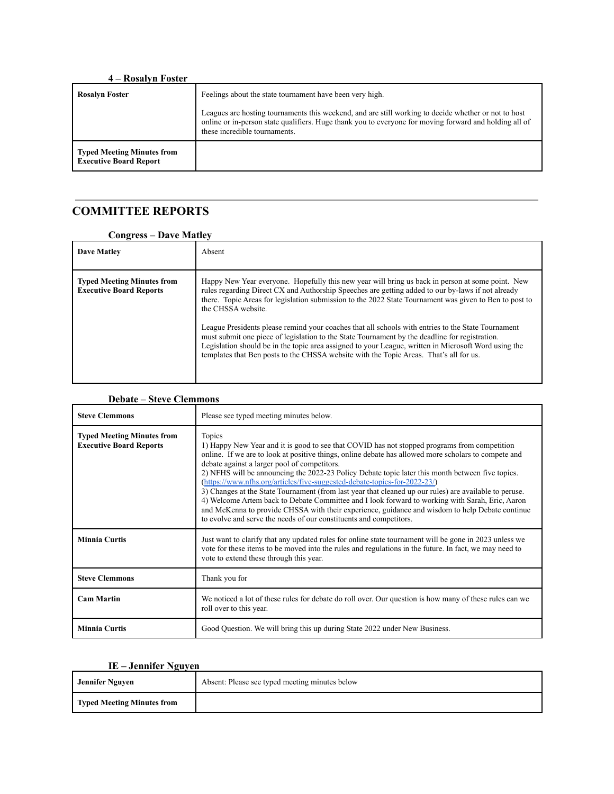| 4 – Rosalyn Foster                                                 |                                                                                                                                                                                                                                                 |
|--------------------------------------------------------------------|-------------------------------------------------------------------------------------------------------------------------------------------------------------------------------------------------------------------------------------------------|
| <b>Rosalvn Foster</b>                                              | Feelings about the state tournament have been very high.                                                                                                                                                                                        |
|                                                                    | Leagues are hosting tournaments this weekend, and are still working to decide whether or not to host<br>online or in-person state qualifiers. Huge thank you to everyone for moving forward and holding all of<br>these incredible tournaments. |
| <b>Typed Meeting Minutes from</b><br><b>Executive Board Report</b> |                                                                                                                                                                                                                                                 |

# **COMMITTEE REPORTS**

#### **Congress – Dave Matley**

| <b>Dave Matley</b>                                                  | Absent                                                                                                                                                                                                                                                                                                                                                                                                                                                                                                                                                                                                                                                                                                                                          |
|---------------------------------------------------------------------|-------------------------------------------------------------------------------------------------------------------------------------------------------------------------------------------------------------------------------------------------------------------------------------------------------------------------------------------------------------------------------------------------------------------------------------------------------------------------------------------------------------------------------------------------------------------------------------------------------------------------------------------------------------------------------------------------------------------------------------------------|
| <b>Typed Meeting Minutes from</b><br><b>Executive Board Reports</b> | Happy New Year everyone. Hopefully this new year will bring us back in person at some point. New<br>rules regarding Direct CX and Authorship Speeches are getting added to our by-laws if not already<br>there. Topic Areas for legislation submission to the 2022 State Tournament was given to Ben to post to<br>the CHSSA website.<br>League Presidents please remind your coaches that all schools with entries to the State Tournament<br>must submit one piece of legislation to the State Tournament by the deadline for registration.<br>Legislation should be in the topic area assigned to your League, written in Microsoft Word using the<br>templates that Ben posts to the CHSSA website with the Topic Areas. That's all for us. |

| <b>Debate – Steve Clemmons</b>                                      |                                                                                                                                                                                                                                                                                                                                                                                                                                                                                                                                                                                                                                                                                                                                                                                                                                       |
|---------------------------------------------------------------------|---------------------------------------------------------------------------------------------------------------------------------------------------------------------------------------------------------------------------------------------------------------------------------------------------------------------------------------------------------------------------------------------------------------------------------------------------------------------------------------------------------------------------------------------------------------------------------------------------------------------------------------------------------------------------------------------------------------------------------------------------------------------------------------------------------------------------------------|
| <b>Steve Clemmons</b>                                               | Please see typed meeting minutes below.                                                                                                                                                                                                                                                                                                                                                                                                                                                                                                                                                                                                                                                                                                                                                                                               |
| <b>Typed Meeting Minutes from</b><br><b>Executive Board Reports</b> | Topics<br>1) Happy New Year and it is good to see that COVID has not stopped programs from competition<br>online. If we are to look at positive things, online debate has allowed more scholars to compete and<br>debate against a larger pool of competitors.<br>2) NFHS will be announcing the 2022-23 Policy Debate topic later this month between five topics.<br>(https://www.nfhs.org/articles/five-suggested-debate-topics-for-2022-23/)<br>3) Changes at the State Tournament (from last year that cleaned up our rules) are available to peruse.<br>4) Welcome Artem back to Debate Committee and I look forward to working with Sarah, Eric, Aaron<br>and McKenna to provide CHSSA with their experience, guidance and wisdom to help Debate continue<br>to evolve and serve the needs of our constituents and competitors. |
| <b>Minnia Curtis</b>                                                | Just want to clarify that any updated rules for online state tournament will be gone in 2023 unless we<br>vote for these items to be moved into the rules and regulations in the future. In fact, we may need to<br>vote to extend these through this year.                                                                                                                                                                                                                                                                                                                                                                                                                                                                                                                                                                           |
| <b>Steve Clemmons</b>                                               | Thank you for                                                                                                                                                                                                                                                                                                                                                                                                                                                                                                                                                                                                                                                                                                                                                                                                                         |
| <b>Cam Martin</b>                                                   | We noticed a lot of these rules for debate do roll over. Our question is how many of these rules can we<br>roll over to this year.                                                                                                                                                                                                                                                                                                                                                                                                                                                                                                                                                                                                                                                                                                    |
| <b>Minnia Curtis</b>                                                | Good Question. We will bring this up during State 2022 under New Business.                                                                                                                                                                                                                                                                                                                                                                                                                                                                                                                                                                                                                                                                                                                                                            |

#### **IE – Jennifer Nguyen**

| <b>Jennifer Nguyen</b>            | Absent: Please see typed meeting minutes below |
|-----------------------------------|------------------------------------------------|
| <b>Typed Meeting Minutes from</b> |                                                |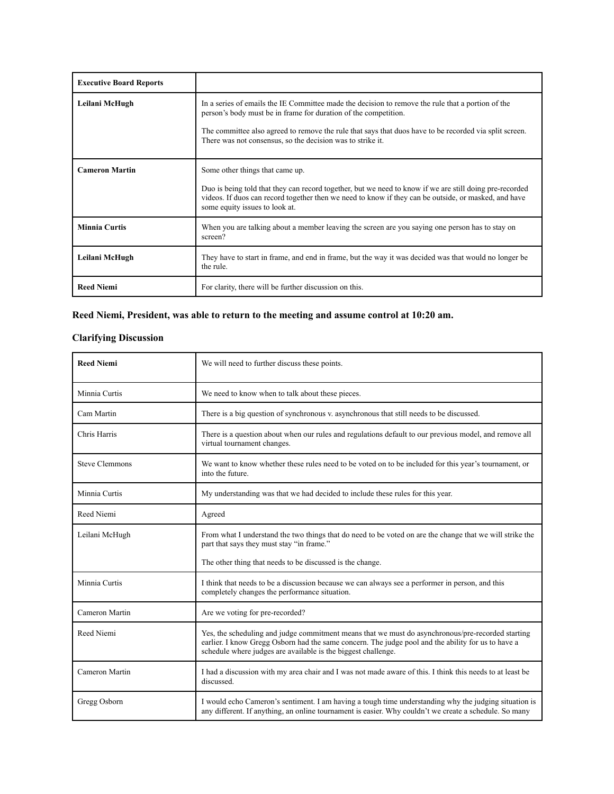| <b>Executive Board Reports</b> |                                                                                                                                                                                                                                                                                                                                              |
|--------------------------------|----------------------------------------------------------------------------------------------------------------------------------------------------------------------------------------------------------------------------------------------------------------------------------------------------------------------------------------------|
| Leilani McHugh                 | In a series of emails the IE Committee made the decision to remove the rule that a portion of the<br>person's body must be in frame for duration of the competition.<br>The committee also agreed to remove the rule that says that duos have to be recorded via split screen.<br>There was not consensus, so the decision was to strike it. |
| <b>Cameron Martin</b>          | Some other things that came up.<br>Duo is being told that they can record together, but we need to know if we are still doing pre-recorded<br>videos. If duos can record together then we need to know if they can be outside, or masked, and have<br>some equity issues to look at.                                                         |
| <b>Minnia Curtis</b>           | When you are talking about a member leaving the screen are you saying one person has to stay on<br>screen?                                                                                                                                                                                                                                   |
| Leilani McHugh                 | They have to start in frame, and end in frame, but the way it was decided was that would no longer be<br>the rule.                                                                                                                                                                                                                           |
| <b>Reed Niemi</b>              | For clarity, there will be further discussion on this.                                                                                                                                                                                                                                                                                       |

### **Reed Niemi, President, was able to return to the meeting and assume control at 10:20 am.**

## **Clarifying Discussion**

| <b>Reed Niemi</b>     | We will need to further discuss these points.                                                                                                                                                                                                                            |
|-----------------------|--------------------------------------------------------------------------------------------------------------------------------------------------------------------------------------------------------------------------------------------------------------------------|
| Minnia Curtis         | We need to know when to talk about these pieces.                                                                                                                                                                                                                         |
| Cam Martin            | There is a big question of synchronous v. asynchronous that still needs to be discussed.                                                                                                                                                                                 |
| Chris Harris          | There is a question about when our rules and regulations default to our previous model, and remove all<br>virtual tournament changes.                                                                                                                                    |
| <b>Steve Clemmons</b> | We want to know whether these rules need to be voted on to be included for this year's tournament, or<br>into the future.                                                                                                                                                |
| Minnia Curtis         | My understanding was that we had decided to include these rules for this year.                                                                                                                                                                                           |
| Reed Niemi            | Agreed                                                                                                                                                                                                                                                                   |
| Leilani McHugh        | From what I understand the two things that do need to be voted on are the change that we will strike the<br>part that says they must stay "in frame."                                                                                                                    |
|                       | The other thing that needs to be discussed is the change.                                                                                                                                                                                                                |
| Minnia Curtis         | I think that needs to be a discussion because we can always see a performer in person, and this<br>completely changes the performance situation.                                                                                                                         |
| Cameron Martin        | Are we voting for pre-recorded?                                                                                                                                                                                                                                          |
| Reed Niemi            | Yes, the scheduling and judge commitment means that we must do asynchronous/pre-recorded starting<br>earlier. I know Gregg Osborn had the same concern. The judge pool and the ability for us to have a<br>schedule where judges are available is the biggest challenge. |
| Cameron Martin        | I had a discussion with my area chair and I was not made aware of this. I think this needs to at least be<br>discussed.                                                                                                                                                  |
| Gregg Osborn          | I would echo Cameron's sentiment. I am having a tough time understanding why the judging situation is<br>any different. If anything, an online tournament is easier. Why couldn't we create a schedule. So many                                                          |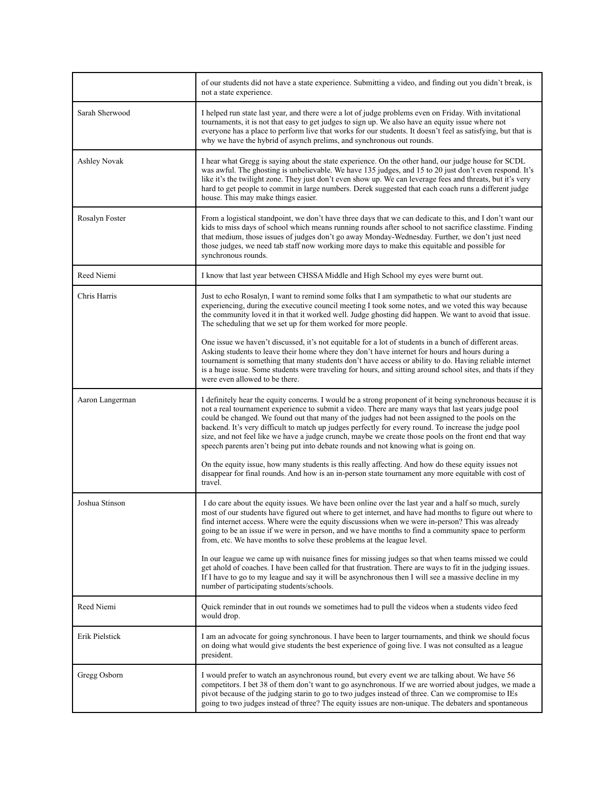|                     | of our students did not have a state experience. Submitting a video, and finding out you didn't break, is<br>not a state experience.                                                                                                                                                                                                                                                                                                                                                                                                                                                                                                                                                                                                  |
|---------------------|---------------------------------------------------------------------------------------------------------------------------------------------------------------------------------------------------------------------------------------------------------------------------------------------------------------------------------------------------------------------------------------------------------------------------------------------------------------------------------------------------------------------------------------------------------------------------------------------------------------------------------------------------------------------------------------------------------------------------------------|
| Sarah Sherwood      | I helped run state last year, and there were a lot of judge problems even on Friday. With invitational<br>tournaments, it is not that easy to get judges to sign up. We also have an equity issue where not<br>everyone has a place to perform live that works for our students. It doesn't feel as satisfying, but that is<br>why we have the hybrid of asynch prelims, and synchronous out rounds.                                                                                                                                                                                                                                                                                                                                  |
| <b>Ashley Novak</b> | I hear what Gregg is saying about the state experience. On the other hand, our judge house for SCDL<br>was awful. The ghosting is unbelievable. We have 135 judges, and 15 to 20 just don't even respond. It's<br>like it's the twilight zone. They just don't even show up. We can leverage fees and threats, but it's very<br>hard to get people to commit in large numbers. Derek suggested that each coach runs a different judge<br>house. This may make things easier.                                                                                                                                                                                                                                                          |
| Rosalyn Foster      | From a logistical standpoint, we don't have three days that we can dedicate to this, and I don't want our<br>kids to miss days of school which means running rounds after school to not sacrifice classtime. Finding<br>that medium, those issues of judges don't go away Monday-Wednesday. Further, we don't just need<br>those judges, we need tab staff now working more days to make this equitable and possible for<br>synchronous rounds.                                                                                                                                                                                                                                                                                       |
| Reed Niemi          | I know that last year between CHSSA Middle and High School my eyes were burnt out.                                                                                                                                                                                                                                                                                                                                                                                                                                                                                                                                                                                                                                                    |
| Chris Harris        | Just to echo Rosalyn, I want to remind some folks that I am sympathetic to what our students are<br>experiencing, during the executive council meeting I took some notes, and we voted this way because<br>the community loved it in that it worked well. Judge ghosting did happen. We want to avoid that issue.<br>The scheduling that we set up for them worked for more people.                                                                                                                                                                                                                                                                                                                                                   |
|                     | One issue we haven't discussed, it's not equitable for a lot of students in a bunch of different areas.<br>Asking students to leave their home where they don't have internet for hours and hours during a<br>tournament is something that many students don't have access or ability to do. Having reliable internet<br>is a huge issue. Some students were traveling for hours, and sitting around school sites, and thats if they<br>were even allowed to be there.                                                                                                                                                                                                                                                                |
| Aaron Langerman     | I definitely hear the equity concerns. I would be a strong proponent of it being synchronous because it is<br>not a real tournament experience to submit a video. There are many ways that last years judge pool<br>could be changed. We found out that many of the judges had not been assigned to the pools on the<br>backend. It's very difficult to match up judges perfectly for every round. To increase the judge pool<br>size, and not feel like we have a judge crunch, maybe we create those pools on the front end that way<br>speech parents aren't being put into debate rounds and not knowing what is going on.<br>On the equity issue, how many students is this really affecting. And how do these equity issues not |
|                     | disappear for final rounds. And how is an in-person state tournament any more equitable with cost of<br>travel.                                                                                                                                                                                                                                                                                                                                                                                                                                                                                                                                                                                                                       |
| Joshua Stinson      | I do care about the equity issues. We have been online over the last year and a half so much, surely<br>most of our students have figured out where to get internet, and have had months to figure out where to<br>find internet access. Where were the equity discussions when we were in-person? This was already<br>going to be an issue if we were in person, and we have months to find a community space to perform<br>from, etc. We have months to solve these problems at the league level.                                                                                                                                                                                                                                   |
|                     | In our league we came up with nuisance fines for missing judges so that when teams missed we could<br>get ahold of coaches. I have been called for that frustration. There are ways to fit in the judging issues.<br>If I have to go to my league and say it will be asynchronous then I will see a massive decline in my<br>number of participating students/schools.                                                                                                                                                                                                                                                                                                                                                                |
| Reed Niemi          | Quick reminder that in out rounds we sometimes had to pull the videos when a students video feed<br>would drop.                                                                                                                                                                                                                                                                                                                                                                                                                                                                                                                                                                                                                       |
| Erik Pielstick      | I am an advocate for going synchronous. I have been to larger tournaments, and think we should focus<br>on doing what would give students the best experience of going live. I was not consulted as a league<br>president.                                                                                                                                                                                                                                                                                                                                                                                                                                                                                                            |
| Gregg Osborn        | I would prefer to watch an asynchronous round, but every event we are talking about. We have 56<br>competitors. I bet 38 of them don't want to go asynchronous. If we are worried about judges, we made a<br>pivot because of the judging starin to go to two judges instead of three. Can we compromise to IEs<br>going to two judges instead of three? The equity issues are non-unique. The debaters and spontaneous                                                                                                                                                                                                                                                                                                               |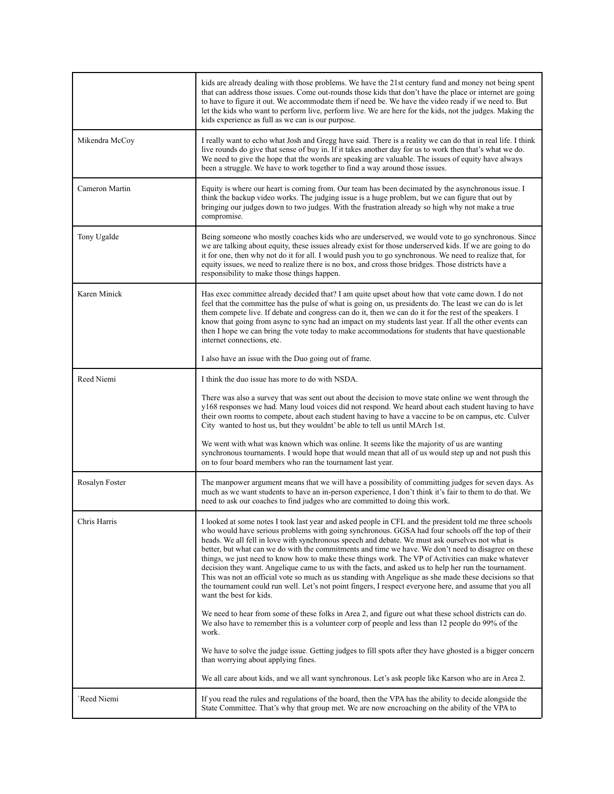|                | kids are already dealing with those problems. We have the 21st century fund and money not being spent<br>that can address those issues. Come out-rounds those kids that don't have the place or internet are going<br>to have to figure it out. We accommodate them if need be. We have the video ready if we need to. But<br>let the kids who want to perform live, perform live. We are here for the kids, not the judges. Making the<br>kids experience as full as we can is our purpose.                                                                                                                                                                                                                                                                                                                                                                                               |
|----------------|--------------------------------------------------------------------------------------------------------------------------------------------------------------------------------------------------------------------------------------------------------------------------------------------------------------------------------------------------------------------------------------------------------------------------------------------------------------------------------------------------------------------------------------------------------------------------------------------------------------------------------------------------------------------------------------------------------------------------------------------------------------------------------------------------------------------------------------------------------------------------------------------|
| Mikendra McCoy | I really want to echo what Josh and Gregg have said. There is a reality we can do that in real life. I think<br>live rounds do give that sense of buy in. If it takes another day for us to work then that's what we do.<br>We need to give the hope that the words are speaking are valuable. The issues of equity have always<br>been a struggle. We have to work together to find a way around those issues.                                                                                                                                                                                                                                                                                                                                                                                                                                                                            |
| Cameron Martin | Equity is where our heart is coming from. Our team has been decimated by the asynchronous issue. I<br>think the backup video works. The judging issue is a huge problem, but we can figure that out by<br>bringing our judges down to two judges. With the frustration already so high why not make a true<br>compromise.                                                                                                                                                                                                                                                                                                                                                                                                                                                                                                                                                                  |
| Tony Ugalde    | Being someone who mostly coaches kids who are underserved, we would vote to go synchronous. Since<br>we are talking about equity, these issues already exist for those underserved kids. If we are going to do<br>it for one, then why not do it for all. I would push you to go synchronous. We need to realize that, for<br>equity issues, we need to realize there is no box, and cross those bridges. Those districts have a<br>responsibility to make those things happen.                                                                                                                                                                                                                                                                                                                                                                                                            |
| Karen Minick   | Has exec committee already decided that? I am quite upset about how that vote came down. I do not<br>feel that the committee has the pulse of what is going on, us presidents do. The least we can do is let<br>them compete live. If debate and congress can do it, then we can do it for the rest of the speakers. I<br>know that going from async to sync had an impact on my students last year. If all the other events can<br>then I hope we can bring the vote today to make accommodations for students that have questionable<br>internet connections, etc.                                                                                                                                                                                                                                                                                                                       |
|                | I also have an issue with the Duo going out of frame.                                                                                                                                                                                                                                                                                                                                                                                                                                                                                                                                                                                                                                                                                                                                                                                                                                      |
| Reed Niemi     | I think the duo issue has more to do with NSDA.                                                                                                                                                                                                                                                                                                                                                                                                                                                                                                                                                                                                                                                                                                                                                                                                                                            |
|                | There was also a survey that was sent out about the decision to move state online we went through the<br>y168 responses we had. Many loud voices did not respond. We heard about each student having to have<br>their own rooms to compete, about each student having to have a vaccine to be on campus, etc. Culver<br>City wanted to host us, but they wouldnt' be able to tell us until MArch 1st.                                                                                                                                                                                                                                                                                                                                                                                                                                                                                      |
|                | We went with what was known which was online. It seems like the majority of us are wanting<br>synchronous tournaments. I would hope that would mean that all of us would step up and not push this<br>on to four board members who ran the tournament last year.                                                                                                                                                                                                                                                                                                                                                                                                                                                                                                                                                                                                                           |
| Rosalyn Foster | The manpower argument means that we will have a possibility of committing judges for seven days. As<br>much as we want students to have an in-person experience, I don't think it's fair to them to do that. We<br>need to ask our coaches to find judges who are committed to doing this work.                                                                                                                                                                                                                                                                                                                                                                                                                                                                                                                                                                                            |
| Chris Harris   | I looked at some notes I took last year and asked people in CFL and the president told me three schools<br>who would have serious problems with going synchronous. GGSA had four schools off the top of their<br>heads. We all fell in love with synchronous speech and debate. We must ask ourselves not what is<br>better, but what can we do with the commitments and time we have. We don't need to disagree on these<br>things, we just need to know how to make these things work. The VP of Activities can make whatever<br>decision they want. Angelique came to us with the facts, and asked us to help her run the tournament.<br>This was not an official vote so much as us standing with Angelique as she made these decisions so that<br>the tournament could run well. Let's not point fingers, I respect everyone here, and assume that you all<br>want the best for kids. |
|                | We need to hear from some of these folks in Area 2, and figure out what these school districts can do.<br>We also have to remember this is a volunteer corp of people and less than 12 people do 99% of the<br>work.                                                                                                                                                                                                                                                                                                                                                                                                                                                                                                                                                                                                                                                                       |
|                | We have to solve the judge issue. Getting judges to fill spots after they have ghosted is a bigger concern<br>than worrying about applying fines.                                                                                                                                                                                                                                                                                                                                                                                                                                                                                                                                                                                                                                                                                                                                          |
|                | We all care about kids, and we all want synchronous. Let's ask people like Karson who are in Area 2.                                                                                                                                                                                                                                                                                                                                                                                                                                                                                                                                                                                                                                                                                                                                                                                       |
| Reed Niemi     | If you read the rules and regulations of the board, then the VPA has the ability to decide alongside the<br>State Committee. That's why that group met. We are now encroaching on the ability of the VPA to                                                                                                                                                                                                                                                                                                                                                                                                                                                                                                                                                                                                                                                                                |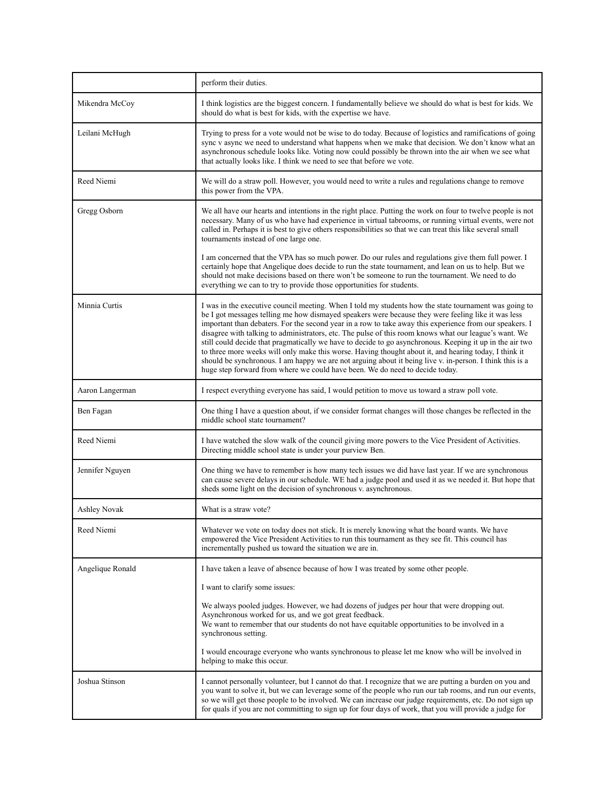|                     | perform their duties.                                                                                                                                                                                                                                                                                                                                                                                                                                                                                                                                                                                                                                                                                                                                                                                                                            |
|---------------------|--------------------------------------------------------------------------------------------------------------------------------------------------------------------------------------------------------------------------------------------------------------------------------------------------------------------------------------------------------------------------------------------------------------------------------------------------------------------------------------------------------------------------------------------------------------------------------------------------------------------------------------------------------------------------------------------------------------------------------------------------------------------------------------------------------------------------------------------------|
| Mikendra McCoy      | I think logistics are the biggest concern. I fundamentally believe we should do what is best for kids. We<br>should do what is best for kids, with the expertise we have.                                                                                                                                                                                                                                                                                                                                                                                                                                                                                                                                                                                                                                                                        |
| Leilani McHugh      | Trying to press for a vote would not be wise to do today. Because of logistics and ramifications of going<br>sync v async we need to understand what happens when we make that decision. We don't know what an<br>asynchronous schedule looks like. Voting now could possibly be thrown into the air when we see what<br>that actually looks like. I think we need to see that before we vote.                                                                                                                                                                                                                                                                                                                                                                                                                                                   |
| Reed Niemi          | We will do a straw poll. However, you would need to write a rules and regulations change to remove<br>this power from the VPA.                                                                                                                                                                                                                                                                                                                                                                                                                                                                                                                                                                                                                                                                                                                   |
| Gregg Osborn        | We all have our hearts and intentions in the right place. Putting the work on four to twelve people is not<br>necessary. Many of us who have had experience in virtual tabrooms, or running virtual events, were not<br>called in. Perhaps it is best to give others responsibilities so that we can treat this like several small<br>tournaments instead of one large one.                                                                                                                                                                                                                                                                                                                                                                                                                                                                      |
|                     | I am concerned that the VPA has so much power. Do our rules and regulations give them full power. I<br>certainly hope that Angelique does decide to run the state tournament, and lean on us to help. But we<br>should not make decisions based on there won't be someone to run the tournament. We need to do<br>everything we can to try to provide those opportunities for students.                                                                                                                                                                                                                                                                                                                                                                                                                                                          |
| Minnia Curtis       | I was in the executive council meeting. When I told my students how the state tournament was going to<br>be I got messages telling me how dismayed speakers were because they were feeling like it was less<br>important than debaters. For the second year in a row to take away this experience from our speakers. I<br>disagree with talking to administrators, etc. The pulse of this room knows what our league's want. We<br>still could decide that pragmatically we have to decide to go asynchronous. Keeping it up in the air two<br>to three more weeks will only make this worse. Having thought about it, and hearing today, I think it<br>should be synchronous. I am happy we are not arguing about it being live v. in-person. I think this is a<br>huge step forward from where we could have been. We do need to decide today. |
| Aaron Langerman     | I respect everything everyone has said, I would petition to move us toward a straw poll vote.                                                                                                                                                                                                                                                                                                                                                                                                                                                                                                                                                                                                                                                                                                                                                    |
| Ben Fagan           | One thing I have a question about, if we consider format changes will those changes be reflected in the<br>middle school state tournament?                                                                                                                                                                                                                                                                                                                                                                                                                                                                                                                                                                                                                                                                                                       |
| Reed Niemi          | I have watched the slow walk of the council giving more powers to the Vice President of Activities.<br>Directing middle school state is under your purview Ben.                                                                                                                                                                                                                                                                                                                                                                                                                                                                                                                                                                                                                                                                                  |
| Jennifer Nguyen     | One thing we have to remember is how many tech issues we did have last year. If we are synchronous<br>can cause severe delays in our schedule. WE had a judge pool and used it as we needed it. But hope that<br>sheds some light on the decision of synchronous v. asynchronous.                                                                                                                                                                                                                                                                                                                                                                                                                                                                                                                                                                |
| <b>Ashley Novak</b> | What is a straw vote?                                                                                                                                                                                                                                                                                                                                                                                                                                                                                                                                                                                                                                                                                                                                                                                                                            |
| Reed Niemi          | Whatever we vote on today does not stick. It is merely knowing what the board wants. We have<br>empowered the Vice President Activities to run this tournament as they see fit. This council has<br>incrementally pushed us toward the situation we are in.                                                                                                                                                                                                                                                                                                                                                                                                                                                                                                                                                                                      |
| Angelique Ronald    | I have taken a leave of absence because of how I was treated by some other people.                                                                                                                                                                                                                                                                                                                                                                                                                                                                                                                                                                                                                                                                                                                                                               |
|                     | I want to clarify some issues:                                                                                                                                                                                                                                                                                                                                                                                                                                                                                                                                                                                                                                                                                                                                                                                                                   |
|                     | We always pooled judges. However, we had dozens of judges per hour that were dropping out.<br>Asynchronous worked for us, and we got great feedback.<br>We want to remember that our students do not have equitable opportunities to be involved in a<br>synchronous setting.                                                                                                                                                                                                                                                                                                                                                                                                                                                                                                                                                                    |
|                     | I would encourage everyone who wants synchronous to please let me know who will be involved in<br>helping to make this occur.                                                                                                                                                                                                                                                                                                                                                                                                                                                                                                                                                                                                                                                                                                                    |
| Joshua Stinson      | I cannot personally volunteer, but I cannot do that. I recognize that we are putting a burden on you and<br>you want to solve it, but we can leverage some of the people who run our tab rooms, and run our events,<br>so we will get those people to be involved. We can increase our judge requirements, etc. Do not sign up<br>for quals if you are not committing to sign up for four days of work, that you will provide a judge for                                                                                                                                                                                                                                                                                                                                                                                                        |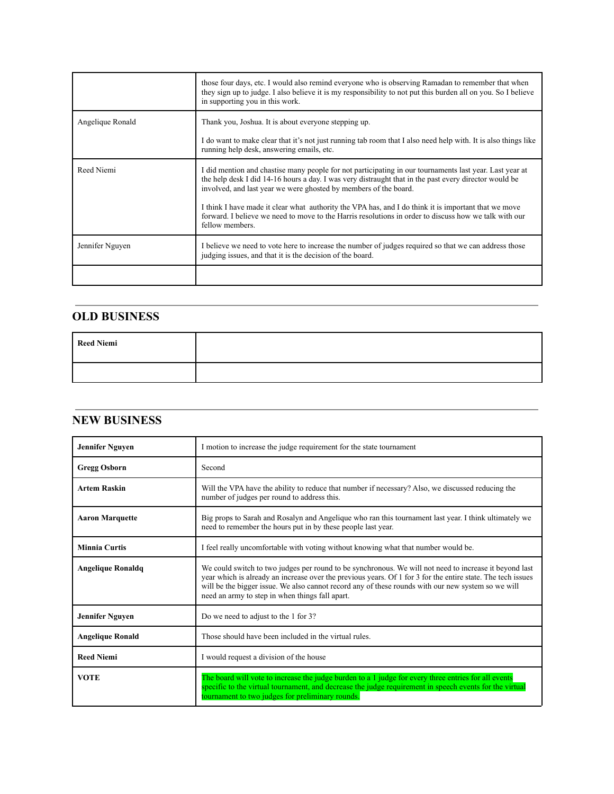|                  | those four days, etc. I would also remind everyone who is observing Ramadan to remember that when<br>they sign up to judge. I also believe it is my responsibility to not put this burden all on you. So I believe<br>in supporting you in this work.                                                                                                                                                                                                                                                                    |
|------------------|--------------------------------------------------------------------------------------------------------------------------------------------------------------------------------------------------------------------------------------------------------------------------------------------------------------------------------------------------------------------------------------------------------------------------------------------------------------------------------------------------------------------------|
| Angelique Ronald | Thank you, Joshua. It is about everyone stepping up.<br>I do want to make clear that it's not just running tab room that I also need help with. It is also things like<br>running help desk, answering emails, etc.                                                                                                                                                                                                                                                                                                      |
| Reed Niemi       | I did mention and chastise many people for not participating in our tournaments last year. Last year at<br>the help desk I did 14-16 hours a day. I was very distraught that in the past every director would be<br>involved, and last year we were ghosted by members of the board.<br>I think I have made it clear what authority the VPA has, and I do think it is important that we move<br>forward. I believe we need to move to the Harris resolutions in order to discuss how we talk with our<br>fellow members. |
| Jennifer Nguyen  | I believe we need to vote here to increase the number of judges required so that we can address those<br>judging issues, and that it is the decision of the board.                                                                                                                                                                                                                                                                                                                                                       |

### **OLD BUSINESS**

| <b>Reed Niemi</b> |  |
|-------------------|--|
|                   |  |

## **NEW BUSINESS**

| <b>Jennifer Nguyen</b>   | I motion to increase the judge requirement for the state tournament                                                                                                                                                                                                                                                                                                            |
|--------------------------|--------------------------------------------------------------------------------------------------------------------------------------------------------------------------------------------------------------------------------------------------------------------------------------------------------------------------------------------------------------------------------|
| <b>Gregg Osborn</b>      | Second                                                                                                                                                                                                                                                                                                                                                                         |
| <b>Artem Raskin</b>      | Will the VPA have the ability to reduce that number if necessary? Also, we discussed reducing the<br>number of judges per round to address this.                                                                                                                                                                                                                               |
| <b>Aaron Marquette</b>   | Big props to Sarah and Rosalyn and Angelique who ran this tournament last year. I think ultimately we<br>need to remember the hours put in by these people last year.                                                                                                                                                                                                          |
| <b>Minnia Curtis</b>     | I feel really uncomfortable with voting without knowing what that number would be.                                                                                                                                                                                                                                                                                             |
| <b>Angelique Ronaldq</b> | We could switch to two judges per round to be synchronous. We will not need to increase it beyond last<br>year which is already an increase over the previous years. Of 1 for 3 for the entire state. The tech issues<br>will be the bigger issue. We also cannot record any of these rounds with our new system so we will<br>need an army to step in when things fall apart. |
| <b>Jennifer Nguyen</b>   | Do we need to adjust to the 1 for 3?                                                                                                                                                                                                                                                                                                                                           |
| <b>Angelique Ronald</b>  | Those should have been included in the virtual rules.                                                                                                                                                                                                                                                                                                                          |
| <b>Reed Niemi</b>        | I would request a division of the house                                                                                                                                                                                                                                                                                                                                        |
| <b>VOTE</b>              | The board will vote to increase the judge burden to a 1 judge for every three entries for all events<br>specific to the virtual tournament, and decrease the judge requirement in speech events for the virtual<br>tournament to two judges for preliminary rounds.                                                                                                            |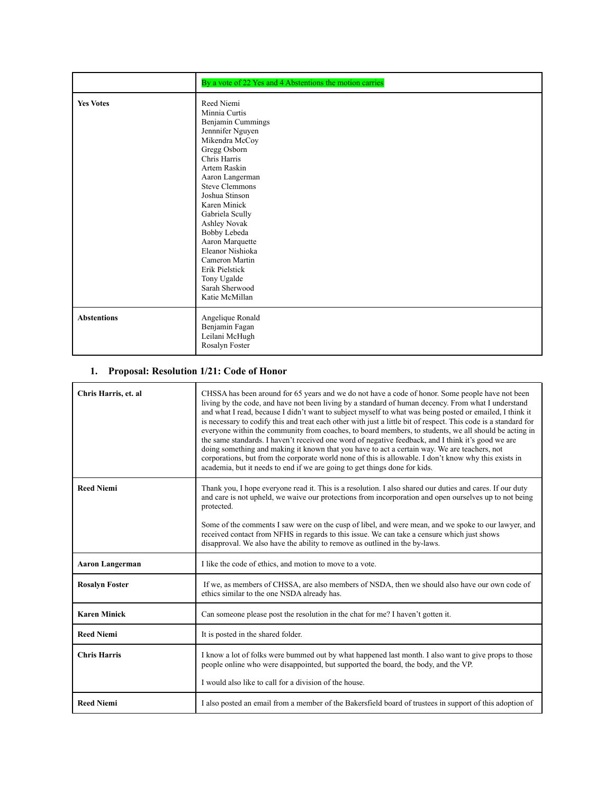|                    | By a vote of 22 Yes and 4 Abstentions the motion carries                                                                                                                                                                                                                                                                                                                                              |
|--------------------|-------------------------------------------------------------------------------------------------------------------------------------------------------------------------------------------------------------------------------------------------------------------------------------------------------------------------------------------------------------------------------------------------------|
| <b>Yes Votes</b>   | Reed Niemi<br>Minnia Curtis<br>Benjamin Cummings<br>Jennnifer Nguyen<br>Mikendra McCoy<br>Gregg Osborn<br>Chris Harris<br>Artem Raskin<br>Aaron Langerman<br><b>Steve Clemmons</b><br>Joshua Stinson<br>Karen Minick<br>Gabriela Scully<br>Ashley Novak<br>Bobby Lebeda<br>Aaron Marquette<br>Eleanor Nishioka<br>Cameron Martin<br>Erik Pielstick<br>Tony Ugalde<br>Sarah Sherwood<br>Katie McMillan |
| <b>Abstentions</b> | Angelique Ronald<br>Benjamin Fagan<br>Leilani McHugh<br>Rosalyn Foster                                                                                                                                                                                                                                                                                                                                |

## **1. Proposal: Resolution 1/21: Code of Honor**

| Chris Harris, et. al   | CHSSA has been around for 65 years and we do not have a code of honor. Some people have not been<br>living by the code, and have not been living by a standard of human decency. From what I understand<br>and what I read, because I didn't want to subject myself to what was being posted or emailed. I think it<br>is necessary to codify this and treat each other with just a little bit of respect. This code is a standard for<br>everyone within the community from coaches, to board members, to students, we all should be acting in<br>the same standards. I haven't received one word of negative feedback, and I think it's good we are<br>doing something and making it known that you have to act a certain way. We are teachers, not<br>corporations, but from the corporate world none of this is allowable. I don't know why this exists in<br>academia, but it needs to end if we are going to get things done for kids. |
|------------------------|----------------------------------------------------------------------------------------------------------------------------------------------------------------------------------------------------------------------------------------------------------------------------------------------------------------------------------------------------------------------------------------------------------------------------------------------------------------------------------------------------------------------------------------------------------------------------------------------------------------------------------------------------------------------------------------------------------------------------------------------------------------------------------------------------------------------------------------------------------------------------------------------------------------------------------------------|
| <b>Reed Niemi</b>      | Thank you, I hope everyone read it. This is a resolution. I also shared our duties and cares. If our duty<br>and care is not upheld, we waive our protections from incorporation and open ourselves up to not being<br>protected.                                                                                                                                                                                                                                                                                                                                                                                                                                                                                                                                                                                                                                                                                                            |
|                        | Some of the comments I saw were on the cusp of libel, and were mean, and we spoke to our lawyer, and<br>received contact from NFHS in regards to this issue. We can take a censure which just shows<br>disapproval. We also have the ability to remove as outlined in the by-laws.                                                                                                                                                                                                                                                                                                                                                                                                                                                                                                                                                                                                                                                           |
| <b>Aaron Langerman</b> | I like the code of ethics, and motion to move to a vote.                                                                                                                                                                                                                                                                                                                                                                                                                                                                                                                                                                                                                                                                                                                                                                                                                                                                                     |
| <b>Rosalyn Foster</b>  | If we, as members of CHSSA, are also members of NSDA, then we should also have our own code of<br>ethics similar to the one NSDA already has.                                                                                                                                                                                                                                                                                                                                                                                                                                                                                                                                                                                                                                                                                                                                                                                                |
| <b>Karen Minick</b>    | Can someone please post the resolution in the chat for me? I haven't gotten it.                                                                                                                                                                                                                                                                                                                                                                                                                                                                                                                                                                                                                                                                                                                                                                                                                                                              |
| <b>Reed Niemi</b>      | It is posted in the shared folder.                                                                                                                                                                                                                                                                                                                                                                                                                                                                                                                                                                                                                                                                                                                                                                                                                                                                                                           |
| <b>Chris Harris</b>    | I know a lot of folks were bummed out by what happened last month. I also want to give props to those<br>people online who were disappointed, but supported the board, the body, and the VP.<br>I would also like to call for a division of the house.                                                                                                                                                                                                                                                                                                                                                                                                                                                                                                                                                                                                                                                                                       |
| <b>Reed Niemi</b>      | I also posted an email from a member of the Bakersfield board of trustees in support of this adoption of                                                                                                                                                                                                                                                                                                                                                                                                                                                                                                                                                                                                                                                                                                                                                                                                                                     |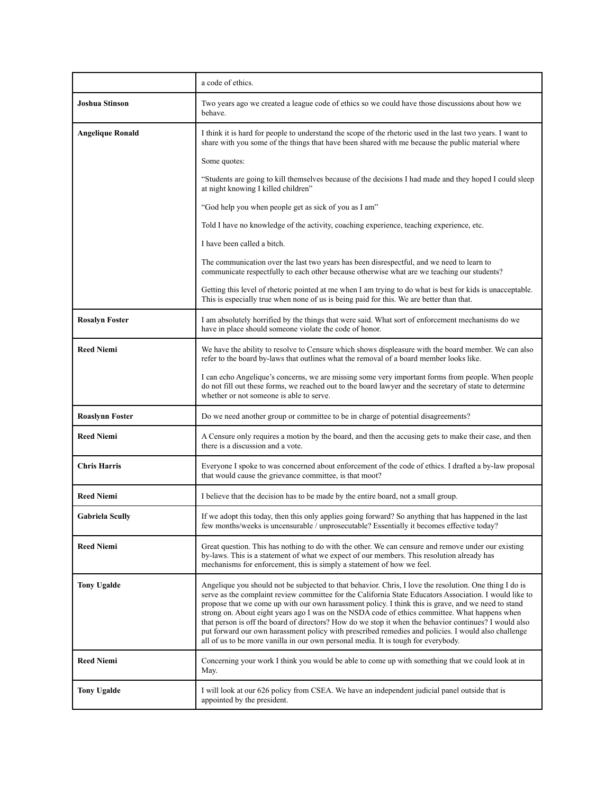|                         | a code of ethics.                                                                                                                                                                                                                                                                                                                                                                                                                                                                                                                                                                                                                                                                                                                  |
|-------------------------|------------------------------------------------------------------------------------------------------------------------------------------------------------------------------------------------------------------------------------------------------------------------------------------------------------------------------------------------------------------------------------------------------------------------------------------------------------------------------------------------------------------------------------------------------------------------------------------------------------------------------------------------------------------------------------------------------------------------------------|
| <b>Joshua Stinson</b>   | Two years ago we created a league code of ethics so we could have those discussions about how we<br>behave.                                                                                                                                                                                                                                                                                                                                                                                                                                                                                                                                                                                                                        |
| <b>Angelique Ronald</b> | I think it is hard for people to understand the scope of the rhetoric used in the last two years. I want to<br>share with you some of the things that have been shared with me because the public material where                                                                                                                                                                                                                                                                                                                                                                                                                                                                                                                   |
|                         | Some quotes:                                                                                                                                                                                                                                                                                                                                                                                                                                                                                                                                                                                                                                                                                                                       |
|                         | "Students are going to kill themselves because of the decisions I had made and they hoped I could sleep<br>at night knowing I killed children"                                                                                                                                                                                                                                                                                                                                                                                                                                                                                                                                                                                     |
|                         | "God help you when people get as sick of you as I am"                                                                                                                                                                                                                                                                                                                                                                                                                                                                                                                                                                                                                                                                              |
|                         | Told I have no knowledge of the activity, coaching experience, teaching experience, etc.                                                                                                                                                                                                                                                                                                                                                                                                                                                                                                                                                                                                                                           |
|                         | I have been called a bitch.                                                                                                                                                                                                                                                                                                                                                                                                                                                                                                                                                                                                                                                                                                        |
|                         | The communication over the last two years has been disrespectful, and we need to learn to<br>communicate respectfully to each other because otherwise what are we teaching our students?                                                                                                                                                                                                                                                                                                                                                                                                                                                                                                                                           |
|                         | Getting this level of rhetoric pointed at me when I am trying to do what is best for kids is unacceptable.<br>This is especially true when none of us is being paid for this. We are better than that.                                                                                                                                                                                                                                                                                                                                                                                                                                                                                                                             |
| <b>Rosalyn Foster</b>   | I am absolutely horrified by the things that were said. What sort of enforcement mechanisms do we<br>have in place should someone violate the code of honor.                                                                                                                                                                                                                                                                                                                                                                                                                                                                                                                                                                       |
| <b>Reed Niemi</b>       | We have the ability to resolve to Censure which shows displeasure with the board member. We can also<br>refer to the board by-laws that outlines what the removal of a board member looks like.                                                                                                                                                                                                                                                                                                                                                                                                                                                                                                                                    |
|                         | I can echo Angelique's concerns, we are missing some very important forms from people. When people<br>do not fill out these forms, we reached out to the board lawyer and the secretary of state to determine<br>whether or not someone is able to serve.                                                                                                                                                                                                                                                                                                                                                                                                                                                                          |
| <b>Roaslynn Foster</b>  | Do we need another group or committee to be in charge of potential disagreements?                                                                                                                                                                                                                                                                                                                                                                                                                                                                                                                                                                                                                                                  |
| <b>Reed Niemi</b>       | A Censure only requires a motion by the board, and then the accusing gets to make their case, and then<br>there is a discussion and a vote.                                                                                                                                                                                                                                                                                                                                                                                                                                                                                                                                                                                        |
| <b>Chris Harris</b>     | Everyone I spoke to was concerned about enforcement of the code of ethics. I drafted a by-law proposal<br>that would cause the grievance committee, is that moot?                                                                                                                                                                                                                                                                                                                                                                                                                                                                                                                                                                  |
| <b>Reed Niemi</b>       | I believe that the decision has to be made by the entire board, not a small group.                                                                                                                                                                                                                                                                                                                                                                                                                                                                                                                                                                                                                                                 |
| <b>Gabriela Scully</b>  | If we adopt this today, then this only applies going forward? So anything that has happened in the last<br>few months/weeks is uncensurable / unprosecutable? Essentially it becomes effective today?                                                                                                                                                                                                                                                                                                                                                                                                                                                                                                                              |
| <b>Reed Niemi</b>       | Great question. This has nothing to do with the other. We can censure and remove under our existing<br>by-laws. This is a statement of what we expect of our members. This resolution already has<br>mechanisms for enforcement, this is simply a statement of how we feel.                                                                                                                                                                                                                                                                                                                                                                                                                                                        |
| <b>Tony Ugalde</b>      | Angelique you should not be subjected to that behavior. Chris, I love the resolution. One thing I do is<br>serve as the complaint review committee for the California State Educators Association. I would like to<br>propose that we come up with our own harassment policy. I think this is grave, and we need to stand<br>strong on. About eight years ago I was on the NSDA code of ethics committee. What happens when<br>that person is off the board of directors? How do we stop it when the behavior continues? I would also<br>put forward our own harassment policy with prescribed remedies and policies. I would also challenge<br>all of us to be more vanilla in our own personal media. It is tough for everybody. |
| <b>Reed Niemi</b>       | Concerning your work I think you would be able to come up with something that we could look at in<br>May.                                                                                                                                                                                                                                                                                                                                                                                                                                                                                                                                                                                                                          |
| <b>Tony Ugalde</b>      | I will look at our 626 policy from CSEA. We have an independent judicial panel outside that is<br>appointed by the president.                                                                                                                                                                                                                                                                                                                                                                                                                                                                                                                                                                                                      |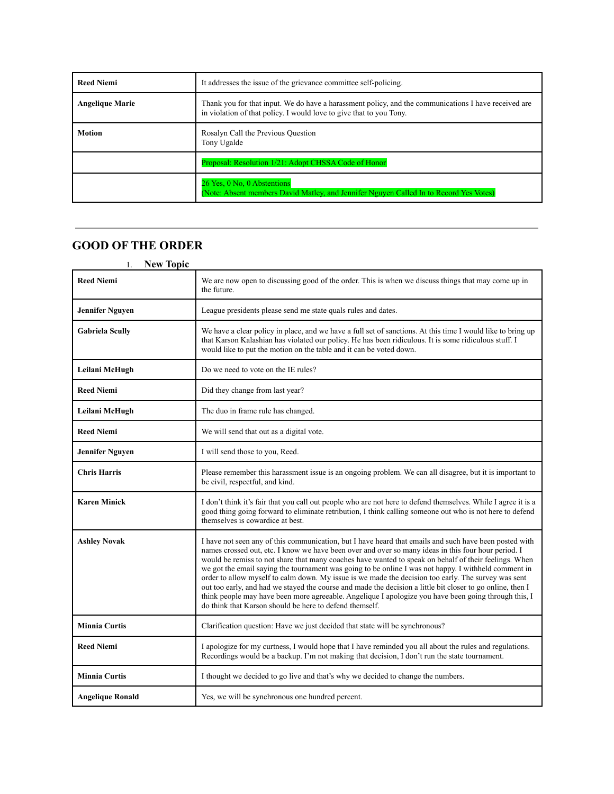| <b>Reed Niemi</b>      | It addresses the issue of the grievance committee self-policing.                                                                                                            |
|------------------------|-----------------------------------------------------------------------------------------------------------------------------------------------------------------------------|
| <b>Angelique Marie</b> | Thank you for that input. We do have a harassment policy, and the communications I have received are<br>in violation of that policy. I would love to give that to you Tony. |
| <b>Motion</b>          | Rosalyn Call the Previous Question<br>Tony Ugalde                                                                                                                           |
|                        | Proposal: Resolution 1/21: Adopt CHSSA Code of Honor                                                                                                                        |
|                        | 26 Yes, 0 No, 0 Abstentions<br>(Note: Absent members David Matley, and Jennifer Nguyen Called In to Record Yes Votes)                                                       |

# **GOOD OF THE ORDER**

| <b>New Topic</b><br>1.  |                                                                                                                                                                                                                                                                                                                                                                                                                                                                                                                                                                                                                                                                                                                                                                                                                        |
|-------------------------|------------------------------------------------------------------------------------------------------------------------------------------------------------------------------------------------------------------------------------------------------------------------------------------------------------------------------------------------------------------------------------------------------------------------------------------------------------------------------------------------------------------------------------------------------------------------------------------------------------------------------------------------------------------------------------------------------------------------------------------------------------------------------------------------------------------------|
| <b>Reed Niemi</b>       | We are now open to discussing good of the order. This is when we discuss things that may come up in<br>the future.                                                                                                                                                                                                                                                                                                                                                                                                                                                                                                                                                                                                                                                                                                     |
| <b>Jennifer Nguyen</b>  | League presidents please send me state quals rules and dates.                                                                                                                                                                                                                                                                                                                                                                                                                                                                                                                                                                                                                                                                                                                                                          |
| <b>Gabriela Scully</b>  | We have a clear policy in place, and we have a full set of sanctions. At this time I would like to bring up<br>that Karson Kalashian has violated our policy. He has been ridiculous. It is some ridiculous stuff. I<br>would like to put the motion on the table and it can be voted down.                                                                                                                                                                                                                                                                                                                                                                                                                                                                                                                            |
| Leilani McHugh          | Do we need to vote on the IE rules?                                                                                                                                                                                                                                                                                                                                                                                                                                                                                                                                                                                                                                                                                                                                                                                    |
| <b>Reed Niemi</b>       | Did they change from last year?                                                                                                                                                                                                                                                                                                                                                                                                                                                                                                                                                                                                                                                                                                                                                                                        |
| Leilani McHugh          | The duo in frame rule has changed.                                                                                                                                                                                                                                                                                                                                                                                                                                                                                                                                                                                                                                                                                                                                                                                     |
| <b>Reed Niemi</b>       | We will send that out as a digital vote.                                                                                                                                                                                                                                                                                                                                                                                                                                                                                                                                                                                                                                                                                                                                                                               |
| <b>Jennifer Nguyen</b>  | I will send those to you, Reed.                                                                                                                                                                                                                                                                                                                                                                                                                                                                                                                                                                                                                                                                                                                                                                                        |
| <b>Chris Harris</b>     | Please remember this harassment issue is an ongoing problem. We can all disagree, but it is important to<br>be civil, respectful, and kind.                                                                                                                                                                                                                                                                                                                                                                                                                                                                                                                                                                                                                                                                            |
| <b>Karen Minick</b>     | I don't think it's fair that you call out people who are not here to defend themselves. While I agree it is a<br>good thing going forward to eliminate retribution, I think calling someone out who is not here to defend<br>themselves is cowardice at best.                                                                                                                                                                                                                                                                                                                                                                                                                                                                                                                                                          |
| <b>Ashley Novak</b>     | I have not seen any of this communication, but I have heard that emails and such have been posted with<br>names crossed out, etc. I know we have been over and over so many ideas in this four hour period. I<br>would be remiss to not share that many coaches have wanted to speak on behalf of their feelings. When<br>we got the email saying the tournament was going to be online I was not happy. I withheld comment in<br>order to allow myself to calm down. My issue is we made the decision too early. The survey was sent<br>out too early, and had we stayed the course and made the decision a little bit closer to go online, then I<br>think people may have been more agreeable. Angelique I apologize you have been going through this, I<br>do think that Karson should be here to defend themself. |
| <b>Minnia Curtis</b>    | Clarification question: Have we just decided that state will be synchronous?                                                                                                                                                                                                                                                                                                                                                                                                                                                                                                                                                                                                                                                                                                                                           |
| <b>Reed Niemi</b>       | I apologize for my curtness, I would hope that I have reminded you all about the rules and regulations.<br>Recordings would be a backup. I'm not making that decision, I don't run the state tournament.                                                                                                                                                                                                                                                                                                                                                                                                                                                                                                                                                                                                               |
| <b>Minnia Curtis</b>    | I thought we decided to go live and that's why we decided to change the numbers.                                                                                                                                                                                                                                                                                                                                                                                                                                                                                                                                                                                                                                                                                                                                       |
| <b>Angelique Ronald</b> | Yes, we will be synchronous one hundred percent.                                                                                                                                                                                                                                                                                                                                                                                                                                                                                                                                                                                                                                                                                                                                                                       |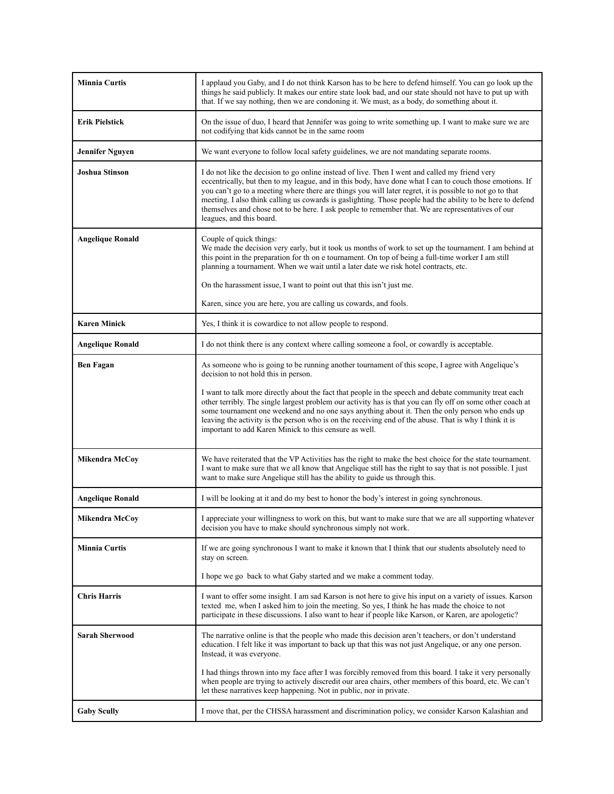| <b>Minnia Curtis</b>    | I applaud you Gaby, and I do not think Karson has to be here to defend himself. You can go look up the<br>things he said publicly. It makes our entire state look bad, and our state should not have to put up with<br>that. If we say nothing, then we are condoning it. We must, as a body, do something about it.                                                                                                                                                                                                                                                  |
|-------------------------|-----------------------------------------------------------------------------------------------------------------------------------------------------------------------------------------------------------------------------------------------------------------------------------------------------------------------------------------------------------------------------------------------------------------------------------------------------------------------------------------------------------------------------------------------------------------------|
| <b>Erik Pielstick</b>   | On the issue of duo, I heard that Jennifer was going to write something up. I want to make sure we are<br>not codifying that kids cannot be in the same room                                                                                                                                                                                                                                                                                                                                                                                                          |
| <b>Jennifer Nguyen</b>  | We want everyone to follow local safety guidelines, we are not mandating separate rooms.                                                                                                                                                                                                                                                                                                                                                                                                                                                                              |
| <b>Joshua Stinson</b>   | I do not like the decision to go online instead of live. Then I went and called my friend very<br>eccentrically, but then to my league, and in this body, have done what I can to couch those emotions. If<br>you can't go to a meeting where there are things you will later regret, it is possible to not go to that<br>meeting. I also think calling us cowards is gaslighting. Those people had the ability to be here to defend<br>themselves and chose not to be here. I ask people to remember that. We are representatives of our<br>leagues, and this board. |
| <b>Angelique Ronald</b> | Couple of quick things:<br>We made the decision very early, but it took us months of work to set up the tournament. I am behind at<br>this point in the preparation for th on e tournament. On top of being a full-time worker I am still<br>planning a tournament. When we wait until a later date we risk hotel contracts, etc.                                                                                                                                                                                                                                     |
|                         | On the harassment issue, I want to point out that this isn't just me.                                                                                                                                                                                                                                                                                                                                                                                                                                                                                                 |
|                         | Karen, since you are here, you are calling us cowards, and fools.                                                                                                                                                                                                                                                                                                                                                                                                                                                                                                     |
| <b>Karen Minick</b>     | Yes, I think it is cowardice to not allow people to respond.                                                                                                                                                                                                                                                                                                                                                                                                                                                                                                          |
| <b>Angelique Ronald</b> | I do not think there is any context where calling someone a fool, or cowardly is acceptable.                                                                                                                                                                                                                                                                                                                                                                                                                                                                          |
| <b>Ben Fagan</b>        | As someone who is going to be running another tournament of this scope, I agree with Angelique's<br>decision to not hold this in person.                                                                                                                                                                                                                                                                                                                                                                                                                              |
|                         | I want to talk more directly about the fact that people in the speech and debate community treat each<br>other terribly. The single largest problem our activity has is that you can fly off on some other coach at<br>some tournament one weekend and no one says anything about it. Then the only person who ends up<br>leaving the activity is the person who is on the receiving end of the abuse. That is why I think it is<br>important to add Karen Minick to this censure as well.                                                                            |
| <b>Mikendra McCoy</b>   | We have reiterated that the VP Activities has the right to make the best choice for the state tournament.<br>I want to make sure that we all know that Angelique still has the right to say that is not possible. I just<br>want to make sure Angelique still has the ability to guide us through this.                                                                                                                                                                                                                                                               |
| <b>Angelique Ronald</b> | I will be looking at it and do my best to honor the body's interest in going synchronous.                                                                                                                                                                                                                                                                                                                                                                                                                                                                             |
| Mikendra McCov          | I appreciate your willingness to work on this, but want to make sure that we are all supporting whatever<br>decision you have to make should synchronous simply not work.                                                                                                                                                                                                                                                                                                                                                                                             |
| <b>Minnia Curtis</b>    | If we are going synchronous I want to make it known that I think that our students absolutely need to<br>stay on screen.                                                                                                                                                                                                                                                                                                                                                                                                                                              |
|                         | I hope we go back to what Gaby started and we make a comment today.                                                                                                                                                                                                                                                                                                                                                                                                                                                                                                   |
| <b>Chris Harris</b>     | I want to offer some insight. I am sad Karson is not here to give his input on a variety of issues. Karson<br>texted me, when I asked him to join the meeting. So yes, I think he has made the choice to not<br>participate in these discussions. I also want to hear if people like Karson, or Karen, are apologetic?                                                                                                                                                                                                                                                |
| <b>Sarah Sherwood</b>   | The narrative online is that the people who made this decision aren't teachers, or don't understand<br>education. I felt like it was important to back up that this was not just Angelique, or any one person.<br>Instead, it was everyone.                                                                                                                                                                                                                                                                                                                           |
|                         | I had things thrown into my face after I was forcibly removed from this board. I take it very personally<br>when people are trying to actively discredit our area chairs, other members of this board, etc. We can't<br>let these narratives keep happening. Not in public, nor in private.                                                                                                                                                                                                                                                                           |
| <b>Gaby Scully</b>      | I move that, per the CHSSA harassment and discrimination policy, we consider Karson Kalashian and                                                                                                                                                                                                                                                                                                                                                                                                                                                                     |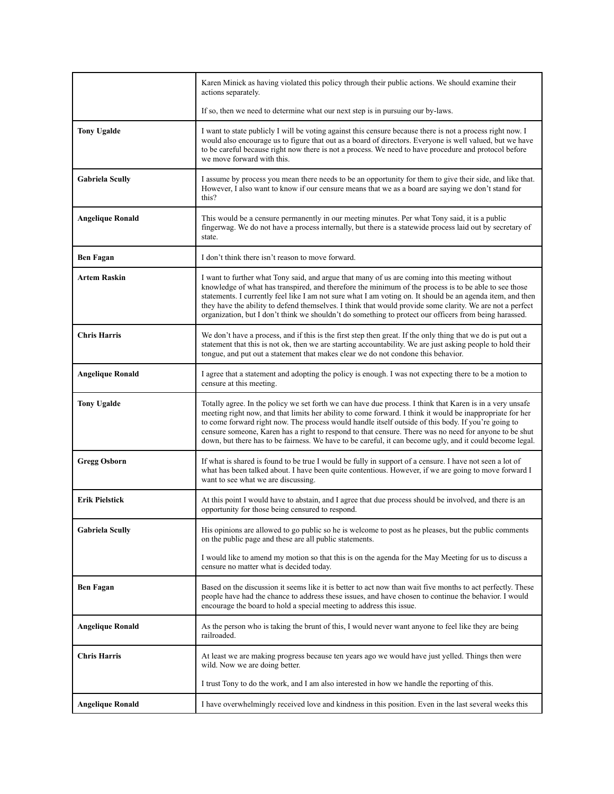|                         | Karen Minick as having violated this policy through their public actions. We should examine their<br>actions separately.                                                                                                                                                                                                                                                                                                                                                                                                                             |
|-------------------------|------------------------------------------------------------------------------------------------------------------------------------------------------------------------------------------------------------------------------------------------------------------------------------------------------------------------------------------------------------------------------------------------------------------------------------------------------------------------------------------------------------------------------------------------------|
|                         | If so, then we need to determine what our next step is in pursuing our by-laws.                                                                                                                                                                                                                                                                                                                                                                                                                                                                      |
| <b>Tony Ugalde</b>      | I want to state publicly I will be voting against this censure because there is not a process right now. I<br>would also encourage us to figure that out as a board of directors. Everyone is well valued, but we have<br>to be careful because right now there is not a process. We need to have procedure and protocol before<br>we move forward with this.                                                                                                                                                                                        |
| <b>Gabriela Scully</b>  | I assume by process you mean there needs to be an opportunity for them to give their side, and like that.<br>However, I also want to know if our censure means that we as a board are saying we don't stand for<br>this?                                                                                                                                                                                                                                                                                                                             |
| <b>Angelique Ronald</b> | This would be a censure permanently in our meeting minutes. Per what Tony said, it is a public<br>fingerwag. We do not have a process internally, but there is a statewide process laid out by secretary of<br>state.                                                                                                                                                                                                                                                                                                                                |
| <b>Ben Fagan</b>        | I don't think there isn't reason to move forward.                                                                                                                                                                                                                                                                                                                                                                                                                                                                                                    |
| <b>Artem Raskin</b>     | I want to further what Tony said, and argue that many of us are coming into this meeting without<br>knowledge of what has transpired, and therefore the minimum of the process is to be able to see those<br>statements. I currently feel like I am not sure what I am voting on. It should be an agenda item, and then<br>they have the ability to defend themselves. I think that would provide some clarity. We are not a perfect<br>organization, but I don't think we shouldn't do something to protect our officers from being harassed.       |
| <b>Chris Harris</b>     | We don't have a process, and if this is the first step then great. If the only thing that we do is put out a<br>statement that this is not ok, then we are starting accountability. We are just asking people to hold their<br>tongue, and put out a statement that makes clear we do not condone this behavior.                                                                                                                                                                                                                                     |
| <b>Angelique Ronald</b> | I agree that a statement and adopting the policy is enough. I was not expecting there to be a motion to<br>censure at this meeting.                                                                                                                                                                                                                                                                                                                                                                                                                  |
| <b>Tony Ugalde</b>      | Totally agree. In the policy we set forth we can have due process. I think that Karen is in a very unsafe<br>meeting right now, and that limits her ability to come forward. I think it would be inappropriate for her<br>to come forward right now. The process would handle itself outside of this body. If you're going to<br>censure someone, Karen has a right to respond to that censure. There was no need for anyone to be shut<br>down, but there has to be fairness. We have to be careful, it can become ugly, and it could become legal. |
| <b>Gregg Osborn</b>     | If what is shared is found to be true I would be fully in support of a censure. I have not seen a lot of<br>what has been talked about. I have been quite contentious. However, if we are going to move forward I<br>want to see what we are discussing.                                                                                                                                                                                                                                                                                             |
| Erik Pielstick          | At this point I would have to abstain, and I agree that due process should be involved, and there is an<br>opportunity for those being censured to respond.                                                                                                                                                                                                                                                                                                                                                                                          |
| <b>Gabriela Scully</b>  | His opinions are allowed to go public so he is welcome to post as he pleases, but the public comments<br>on the public page and these are all public statements.                                                                                                                                                                                                                                                                                                                                                                                     |
|                         | I would like to amend my motion so that this is on the agenda for the May Meeting for us to discuss a<br>censure no matter what is decided today.                                                                                                                                                                                                                                                                                                                                                                                                    |
| <b>Ben Fagan</b>        | Based on the discussion it seems like it is better to act now than wait five months to act perfectly. These<br>people have had the chance to address these issues, and have chosen to continue the behavior. I would<br>encourage the board to hold a special meeting to address this issue.                                                                                                                                                                                                                                                         |
| <b>Angelique Ronald</b> | As the person who is taking the brunt of this, I would never want anyone to feel like they are being<br>railroaded.                                                                                                                                                                                                                                                                                                                                                                                                                                  |
| <b>Chris Harris</b>     | At least we are making progress because ten years ago we would have just yelled. Things then were<br>wild. Now we are doing better.                                                                                                                                                                                                                                                                                                                                                                                                                  |
|                         | I trust Tony to do the work, and I am also interested in how we handle the reporting of this.                                                                                                                                                                                                                                                                                                                                                                                                                                                        |
| <b>Angelique Ronald</b> | I have overwhelmingly received love and kindness in this position. Even in the last several weeks this                                                                                                                                                                                                                                                                                                                                                                                                                                               |